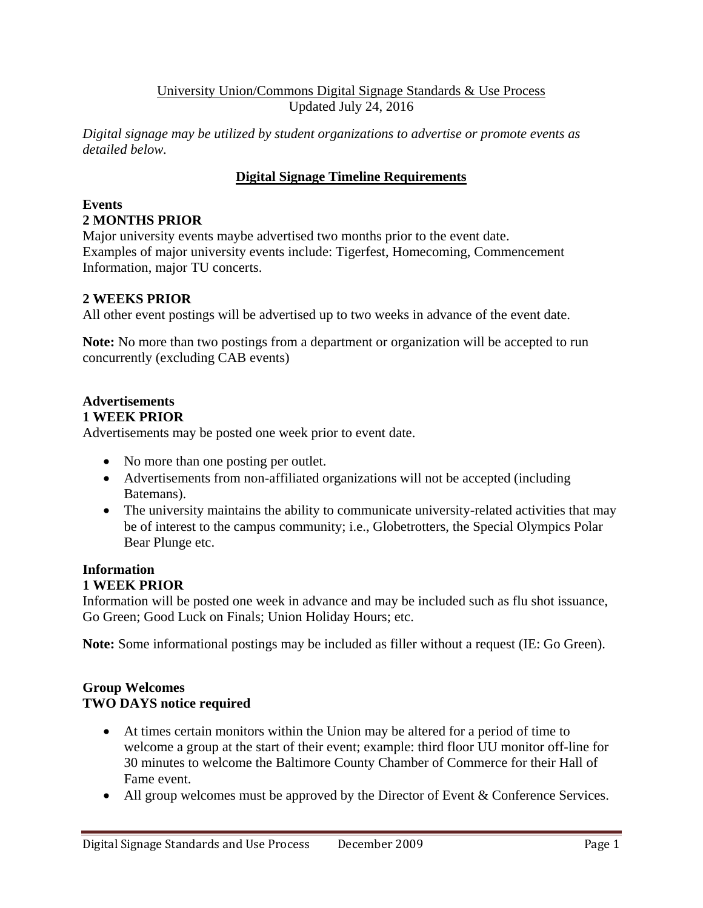## University Union/Commons Digital Signage Standards & Use Process Updated July 24, 2016

*Digital signage may be utilized by student organizations to advertise or promote events as detailed below.* 

# **Digital Signage Timeline Requirements**

#### **Events 2 MONTHS PRIOR**

Major university events maybe advertised two months prior to the event date. Examples of major university events include: Tigerfest, Homecoming, Commencement Information, major TU concerts.

# **2 WEEKS PRIOR**

All other event postings will be advertised up to two weeks in advance of the event date.

**Note:** No more than two postings from a department or organization will be accepted to run concurrently (excluding CAB events)

#### **Advertisements 1 WEEK PRIOR**

Advertisements may be posted one week prior to event date.

- No more than one posting per outlet.
- Advertisements from non-affiliated organizations will not be accepted (including Batemans).
- The university maintains the ability to communicate university-related activities that may be of interest to the campus community; i.e., Globetrotters, the Special Olympics Polar Bear Plunge etc.

# **Information**

## **1 WEEK PRIOR**

Information will be posted one week in advance and may be included such as flu shot issuance, Go Green; Good Luck on Finals; Union Holiday Hours; etc.

**Note:** Some informational postings may be included as filler without a request (IE: Go Green).

## **Group Welcomes TWO DAYS notice required**

- At times certain monitors within the Union may be altered for a period of time to welcome a group at the start of their event; example: third floor UU monitor off-line for 30 minutes to welcome the Baltimore County Chamber of Commerce for their Hall of Fame event.
- All group welcomes must be approved by the Director of Event & Conference Services.